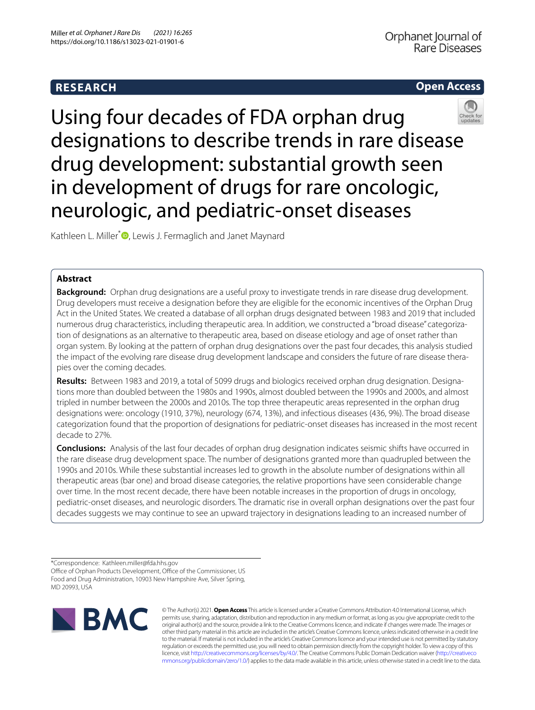# **RESEARCH**

# **Open Access**



Using four decades of FDA orphan drug designations to describe trends in rare disease drug development: substantial growth seen in development of drugs for rare oncologic, neurologic, and pediatric-onset diseases

Kathleen L. Miller<sup>[\\*](http://orcid.org/0000-0002-3939-3660)</sup><sup>D</sup>, Lewis J. Fermaglich and Janet Maynard

# **Abstract**

**Background:** Orphan drug designations are a useful proxy to investigate trends in rare disease drug development. Drug developers must receive a designation before they are eligible for the economic incentives of the Orphan Drug Act in the United States. We created a database of all orphan drugs designated between 1983 and 2019 that included numerous drug characteristics, including therapeutic area. In addition, we constructed a "broad disease" categorization of designations as an alternative to therapeutic area, based on disease etiology and age of onset rather than organ system. By looking at the pattern of orphan drug designations over the past four decades, this analysis studied the impact of the evolving rare disease drug development landscape and considers the future of rare disease therapies over the coming decades.

**Results:** Between 1983 and 2019, a total of 5099 drugs and biologics received orphan drug designation. Designations more than doubled between the 1980s and 1990s, almost doubled between the 1990s and 2000s, and almost tripled in number between the 2000s and 2010s. The top three therapeutic areas represented in the orphan drug designations were: oncology (1910, 37%), neurology (674, 13%), and infectious diseases (436, 9%). The broad disease categorization found that the proportion of designations for pediatric-onset diseases has increased in the most recent decade to 27%.

**Conclusions:** Analysis of the last four decades of orphan drug designation indicates seismic shifts have occurred in the rare disease drug development space. The number of designations granted more than quadrupled between the 1990s and 2010s. While these substantial increases led to growth in the absolute number of designations within all therapeutic areas (bar one) and broad disease categories, the relative proportions have seen considerable change over time. In the most recent decade, there have been notable increases in the proportion of drugs in oncology, pediatric-onset diseases, and neurologic disorders. The dramatic rise in overall orphan designations over the past four decades suggests we may continue to see an upward trajectory in designations leading to an increased number of

\*Correspondence: Kathleen.miller@fda.hhs.gov

Office of Orphan Products Development, Office of the Commissioner, US Food and Drug Administration, 10903 New Hampshire Ave, Silver Spring, MD 20993, USA



© The Author(s) 2021. **Open Access** This article is licensed under a Creative Commons Attribution 4.0 International License, which permits use, sharing, adaptation, distribution and reproduction in any medium or format, as long as you give appropriate credit to the original author(s) and the source, provide a link to the Creative Commons licence, and indicate if changes were made. The images or other third party material in this article are included in the article's Creative Commons licence, unless indicated otherwise in a credit line to the material. If material is not included in the article's Creative Commons licence and your intended use is not permitted by statutory regulation or exceeds the permitted use, you will need to obtain permission directly from the copyright holder. To view a copy of this licence, visit [http://creativecommons.org/licenses/by/4.0/.](http://creativecommons.org/licenses/by/4.0/) The Creative Commons Public Domain Dedication waiver ([http://creativeco](http://creativecommons.org/publicdomain/zero/1.0/) [mmons.org/publicdomain/zero/1.0/](http://creativecommons.org/publicdomain/zero/1.0/)) applies to the data made available in this article, unless otherwise stated in a credit line to the data.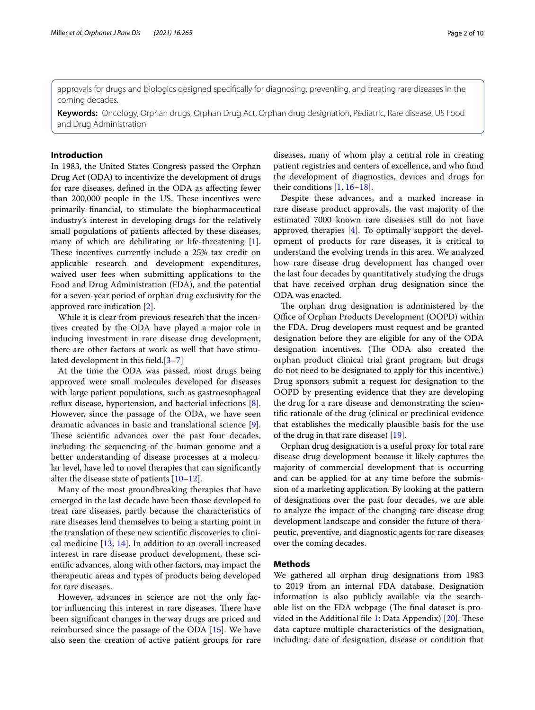approvals for drugs and biologics designed specifcally for diagnosing, preventing, and treating rare diseases in the coming decades.

**Keywords:** Oncology, Orphan drugs, Orphan Drug Act, Orphan drug designation, Pediatric, Rare disease, US Food and Drug Administration

# **Introduction**

In 1983, the United States Congress passed the Orphan Drug Act (ODA) to incentivize the development of drugs for rare diseases, defned in the ODA as afecting fewer than 200,000 people in the US. These incentives were primarily fnancial, to stimulate the biopharmaceutical industry's interest in developing drugs for the relatively small populations of patients afected by these diseases, many of which are debilitating or life-threatening [\[1](#page-9-0)]. These incentives currently include a 25% tax credit on applicable research and development expenditures, waived user fees when submitting applications to the Food and Drug Administration (FDA), and the potential for a seven-year period of orphan drug exclusivity for the approved rare indication [[2\]](#page-9-1).

While it is clear from previous research that the incentives created by the ODA have played a major role in inducing investment in rare disease drug development, there are other factors at work as well that have stimulated development in this feld.[\[3](#page-9-2)[–7](#page-9-3)]

At the time the ODA was passed, most drugs being approved were small molecules developed for diseases with large patient populations, such as gastroesophageal reflux disease, hypertension, and bacterial infections  $[8]$  $[8]$ . However, since the passage of the ODA, we have seen dramatic advances in basic and translational science [\[9](#page-9-5)]. These scientific advances over the past four decades, including the sequencing of the human genome and a better understanding of disease processes at a molecular level, have led to novel therapies that can signifcantly alter the disease state of patients [\[10](#page-9-6)–[12\]](#page-9-7).

Many of the most groundbreaking therapies that have emerged in the last decade have been those developed to treat rare diseases, partly because the characteristics of rare diseases lend themselves to being a starting point in the translation of these new scientifc discoveries to clinical medicine [\[13,](#page-9-8) [14\]](#page-9-9). In addition to an overall increased interest in rare disease product development, these scientifc advances, along with other factors, may impact the therapeutic areas and types of products being developed for rare diseases.

However, advances in science are not the only factor influencing this interest in rare diseases. There have been signifcant changes in the way drugs are priced and reimbursed since the passage of the ODA [[15](#page-9-10)]. We have also seen the creation of active patient groups for rare diseases, many of whom play a central role in creating patient registries and centers of excellence, and who fund the development of diagnostics, devices and drugs for their conditions [\[1](#page-9-0), [16](#page-9-11)[–18](#page-9-12)].

Despite these advances, and a marked increase in rare disease product approvals, the vast majority of the estimated 7000 known rare diseases still do not have approved therapies [[4\]](#page-9-13). To optimally support the development of products for rare diseases, it is critical to understand the evolving trends in this area. We analyzed how rare disease drug development has changed over the last four decades by quantitatively studying the drugs that have received orphan drug designation since the ODA was enacted.

The orphan drug designation is administered by the Office of Orphan Products Development (OOPD) within the FDA. Drug developers must request and be granted designation before they are eligible for any of the ODA designation incentives. (The ODA also created the orphan product clinical trial grant program, but drugs do not need to be designated to apply for this incentive.) Drug sponsors submit a request for designation to the OOPD by presenting evidence that they are developing the drug for a rare disease and demonstrating the scientifc rationale of the drug (clinical or preclinical evidence that establishes the medically plausible basis for the use of the drug in that rare disease) [\[19](#page-9-14)].

Orphan drug designation is a useful proxy for total rare disease drug development because it likely captures the majority of commercial development that is occurring and can be applied for at any time before the submission of a marketing application. By looking at the pattern of designations over the past four decades, we are able to analyze the impact of the changing rare disease drug development landscape and consider the future of therapeutic, preventive, and diagnostic agents for rare diseases over the coming decades.

## **Methods**

We gathered all orphan drug designations from 1983 to 2019 from an internal FDA database. Designation information is also publicly available via the searchable list on the FDA webpage (The final dataset is pro-vided in the Additional file [1:](#page-8-0) Data Appendix)  $[20]$ . These data capture multiple characteristics of the designation, including: date of designation, disease or condition that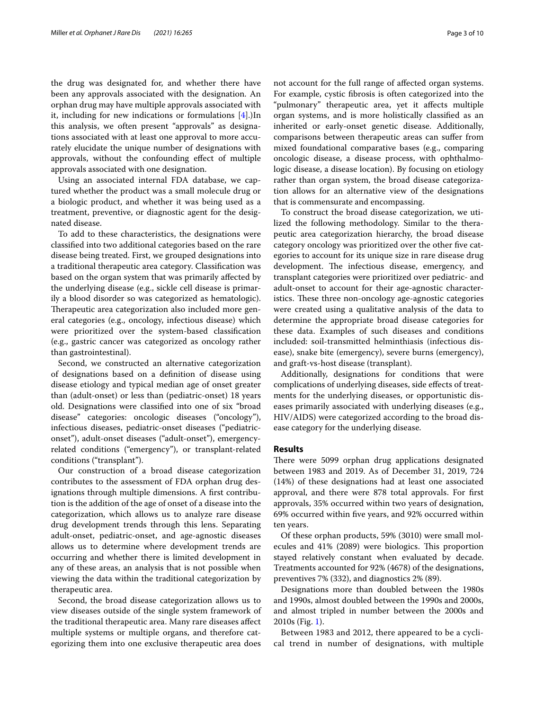the drug was designated for, and whether there have been any approvals associated with the designation. An orphan drug may have multiple approvals associated with it, including for new indications or formulations [\[4](#page-9-13)].)In this analysis, we often present "approvals" as designations associated with at least one approval to more accurately elucidate the unique number of designations with approvals, without the confounding efect of multiple approvals associated with one designation.

Using an associated internal FDA database, we captured whether the product was a small molecule drug or a biologic product, and whether it was being used as a treatment, preventive, or diagnostic agent for the designated disease.

To add to these characteristics, the designations were classifed into two additional categories based on the rare disease being treated. First, we grouped designations into a traditional therapeutic area category. Classifcation was based on the organ system that was primarily afected by the underlying disease (e.g., sickle cell disease is primarily a blood disorder so was categorized as hematologic). Therapeutic area categorization also included more general categories (e.g., oncology, infectious disease) which were prioritized over the system-based classifcation (e.g., gastric cancer was categorized as oncology rather than gastrointestinal).

Second, we constructed an alternative categorization of designations based on a defnition of disease using disease etiology and typical median age of onset greater than (adult-onset) or less than (pediatric-onset) 18 years old. Designations were classifed into one of six "broad disease" categories: oncologic diseases ("oncology"), infectious diseases, pediatric-onset diseases ("pediatriconset"), adult-onset diseases ("adult-onset"), emergencyrelated conditions ("emergency"), or transplant-related conditions ("transplant").

Our construction of a broad disease categorization contributes to the assessment of FDA orphan drug designations through multiple dimensions. A frst contribution is the addition of the age of onset of a disease into the categorization, which allows us to analyze rare disease drug development trends through this lens. Separating adult-onset, pediatric-onset, and age-agnostic diseases allows us to determine where development trends are occurring and whether there is limited development in any of these areas, an analysis that is not possible when viewing the data within the traditional categorization by therapeutic area.

Second, the broad disease categorization allows us to view diseases outside of the single system framework of the traditional therapeutic area. Many rare diseases afect multiple systems or multiple organs, and therefore categorizing them into one exclusive therapeutic area does not account for the full range of afected organ systems. For example, cystic fbrosis is often categorized into the "pulmonary" therapeutic area, yet it afects multiple organ systems, and is more holistically classifed as an inherited or early-onset genetic disease. Additionally, comparisons between therapeutic areas can sufer from mixed foundational comparative bases (e.g., comparing oncologic disease, a disease process, with ophthalmologic disease, a disease location). By focusing on etiology rather than organ system, the broad disease categorization allows for an alternative view of the designations that is commensurate and encompassing.

To construct the broad disease categorization, we utilized the following methodology. Similar to the therapeutic area categorization hierarchy, the broad disease category oncology was prioritized over the other fve categories to account for its unique size in rare disease drug development. The infectious disease, emergency, and transplant categories were prioritized over pediatric- and adult-onset to account for their age-agnostic characteristics. These three non-oncology age-agnostic categories were created using a qualitative analysis of the data to determine the appropriate broad disease categories for these data. Examples of such diseases and conditions included: soil-transmitted helminthiasis (infectious disease), snake bite (emergency), severe burns (emergency), and graft-vs-host disease (transplant).

Additionally, designations for conditions that were complications of underlying diseases, side efects of treatments for the underlying diseases, or opportunistic diseases primarily associated with underlying diseases (e.g., HIV/AIDS) were categorized according to the broad disease category for the underlying disease.

## **Results**

There were 5099 orphan drug applications designated between 1983 and 2019. As of December 31, 2019, 724 (14%) of these designations had at least one associated approval, and there were 878 total approvals. For frst approvals, 35% occurred within two years of designation, 69% occurred within fve years, and 92% occurred within ten years.

Of these orphan products, 59% (3010) were small molecules and 41% (2089) were biologics. This proportion stayed relatively constant when evaluated by decade. Treatments accounted for 92% (4678) of the designations, preventives 7% (332), and diagnostics 2% (89).

Designations more than doubled between the 1980s and 1990s, almost doubled between the 1990s and 2000s, and almost tripled in number between the 2000s and 2010s (Fig. [1\)](#page-3-0).

Between 1983 and 2012, there appeared to be a cyclical trend in number of designations, with multiple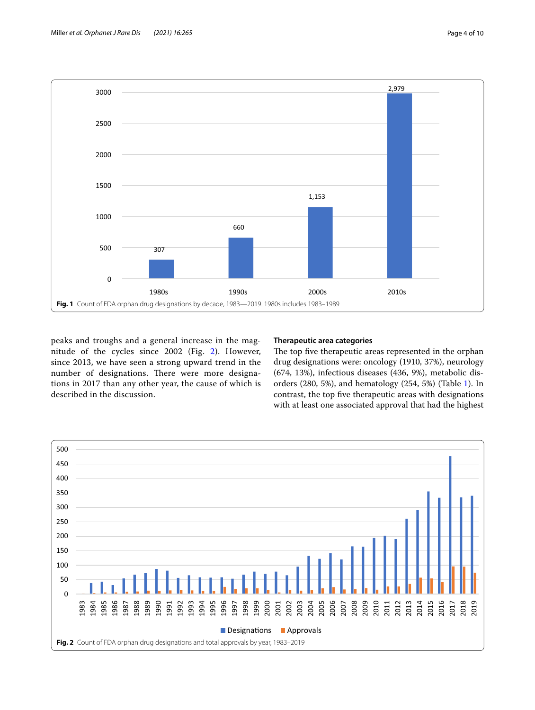

<span id="page-3-0"></span>peaks and troughs and a general increase in the magnitude of the cycles since 2002 (Fig. [2](#page-3-1)). However, since 2013, we have seen a strong upward trend in the number of designations. There were more designations in 2017 than any other year, the cause of which is described in the discussion.

## **Therapeutic area categories**

The top five therapeutic areas represented in the orphan drug designations were: oncology (1910, 37%), neurology (674, 13%), infectious diseases (436, 9%), metabolic disorders (280, 5%), and hematology (254, 5%) (Table [1](#page-4-0)). In contrast, the top fve therapeutic areas with designations with at least one associated approval that had the highest

<span id="page-3-1"></span>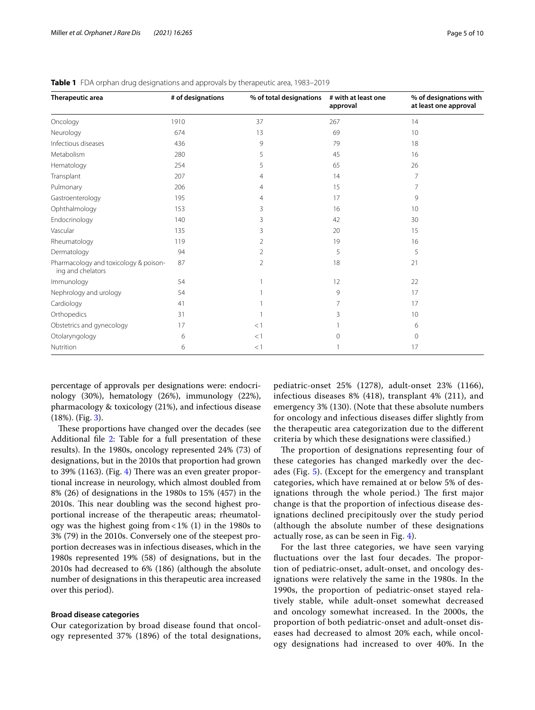| Therapeutic area                                           | # of designations | % of total designations | # with at least one<br>approval | % of designations with<br>at least one approval |
|------------------------------------------------------------|-------------------|-------------------------|---------------------------------|-------------------------------------------------|
| Oncology                                                   | 1910              | 37                      | 267                             | 14                                              |
| Neurology                                                  | 674               | 13                      | 69                              | 10                                              |
| Infectious diseases                                        | 436               | 9                       | 79                              | 18                                              |
| Metabolism                                                 | 280               | 5                       | 45                              | 16                                              |
| Hematology                                                 | 254               | 5                       | 65                              | 26                                              |
| Transplant                                                 | 207               | 4                       | 14                              | 7                                               |
| Pulmonary                                                  | 206               | 4                       | 15                              | 7                                               |
| Gastroenterology                                           | 195               | 4                       | 17                              | 9                                               |
| Ophthalmology                                              | 153               | 3                       | 16                              | 10                                              |
| Endocrinology                                              | 140               | 3                       | 42                              | 30                                              |
| Vascular                                                   | 135               | 3                       | 20                              | 15                                              |
| Rheumatology                                               | 119               | 2                       | 19                              | 16                                              |
| Dermatology                                                | 94                | $\overline{2}$          | 5                               | 5                                               |
| Pharmacology and toxicology & poison-<br>ing and chelators | 87                | 2                       | 18                              | 21                                              |
| Immunology                                                 | 54                |                         | 12                              | 22                                              |
| Nephrology and urology                                     | 54                |                         | 9                               | 17                                              |
| Cardiology                                                 | 41                |                         | 7                               | 17                                              |
| Orthopedics                                                | 31                |                         | 3                               | 10                                              |
| Obstetrics and gynecology                                  | 17                | <1                      |                                 | 6                                               |
| Otolaryngology                                             | 6                 | <1                      | $\Omega$                        | $\Omega$                                        |
| Nutrition                                                  | 6                 | <1                      |                                 | 17                                              |

<span id="page-4-0"></span>**Table 1** FDA orphan drug designations and approvals by therapeutic area, 1983–2019

percentage of approvals per designations were: endocrinology (30%), hematology (26%), immunology (22%), pharmacology & toxicology (21%), and infectious disease (18%). (Fig. [3\)](#page-5-0).

These proportions have changed over the decades (see Additional file [2:](#page-8-1) Table for a full presentation of these results). In the 1980s, oncology represented 24% (73) of designations, but in the 2010s that proportion had grown to 39% (1163). (Fig. [4](#page-6-0)) There was an even greater proportional increase in neurology, which almost doubled from 8% (26) of designations in the 1980s to 15% (457) in the 2010s. This near doubling was the second highest proportional increase of the therapeutic areas; rheumatology was the highest going from  $<1\%$  (1) in the 1980s to 3% (79) in the 2010s. Conversely one of the steepest proportion decreases was in infectious diseases, which in the 1980s represented 19% (58) of designations, but in the 2010s had decreased to 6% (186) (although the absolute number of designations in this therapeutic area increased over this period).

## **Broad disease categories**

Our categorization by broad disease found that oncology represented 37% (1896) of the total designations, pediatric-onset 25% (1278), adult-onset 23% (1166), infectious diseases 8% (418), transplant 4% (211), and emergency 3% (130). (Note that these absolute numbers for oncology and infectious diseases difer slightly from the therapeutic area categorization due to the diferent criteria by which these designations were classifed.)

The proportion of designations representing four of these categories has changed markedly over the decades (Fig. [5](#page-6-1)). (Except for the emergency and transplant categories, which have remained at or below 5% of designations through the whole period.) The first major change is that the proportion of infectious disease designations declined precipitously over the study period (although the absolute number of these designations actually rose, as can be seen in Fig. [4](#page-6-0)).

For the last three categories, we have seen varying fluctuations over the last four decades. The proportion of pediatric-onset, adult-onset, and oncology designations were relatively the same in the 1980s. In the 1990s, the proportion of pediatric-onset stayed relatively stable, while adult-onset somewhat decreased and oncology somewhat increased. In the 2000s, the proportion of both pediatric-onset and adult-onset diseases had decreased to almost 20% each, while oncology designations had increased to over 40%. In the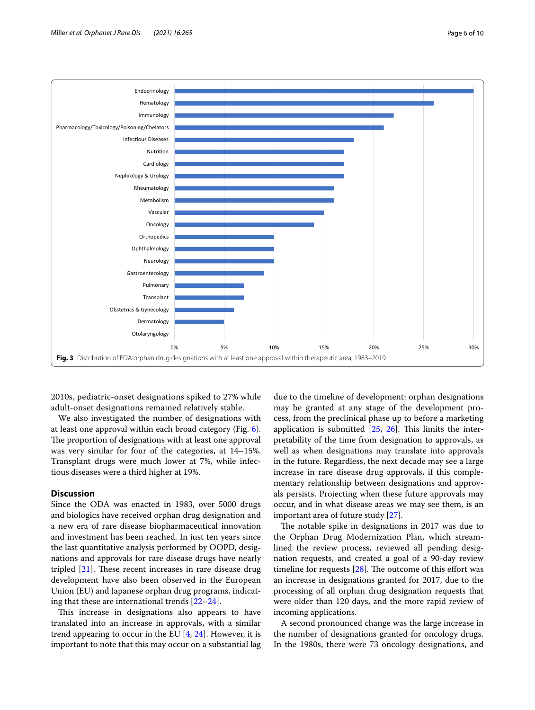

<span id="page-5-0"></span>2010s, pediatric-onset designations spiked to 27% while adult-onset designations remained relatively stable.

We also investigated the number of designations with at least one approval within each broad category (Fig. [6](#page-7-0)). The proportion of designations with at least one approval was very similar for four of the categories, at 14–15%. Transplant drugs were much lower at 7%, while infectious diseases were a third higher at 19%.

# **Discussion**

Since the ODA was enacted in 1983, over 5000 drugs and biologics have received orphan drug designation and a new era of rare disease biopharmaceutical innovation and investment has been reached. In just ten years since the last quantitative analysis performed by OOPD, designations and approvals for rare disease drugs have nearly tripled  $[21]$  $[21]$ . These recent increases in rare disease drug development have also been observed in the European Union (EU) and Japanese orphan drug programs, indicating that these are international trends [[22](#page-9-17)[–24](#page-9-18)].

This increase in designations also appears to have translated into an increase in approvals, with a similar trend appearing to occur in the EU  $[4, 24]$  $[4, 24]$  $[4, 24]$  $[4, 24]$ . However, it is important to note that this may occur on a substantial lag

due to the timeline of development: orphan designations may be granted at any stage of the development process, from the preclinical phase up to before a marketing application is submitted  $[25, 26]$  $[25, 26]$  $[25, 26]$  $[25, 26]$ . This limits the interpretability of the time from designation to approvals, as well as when designations may translate into approvals in the future. Regardless, the next decade may see a large increase in rare disease drug approvals, if this complementary relationship between designations and approvals persists. Projecting when these future approvals may occur, and in what disease areas we may see them, is an important area of future study [\[27](#page-9-21)].

The notable spike in designations in 2017 was due to the Orphan Drug Modernization Plan, which streamlined the review process, reviewed all pending designation requests, and created a goal of a 90-day review timeline for requests  $[28]$  $[28]$ . The outcome of this effort was an increase in designations granted for 2017, due to the processing of all orphan drug designation requests that were older than 120 days, and the more rapid review of incoming applications.

A second pronounced change was the large increase in the number of designations granted for oncology drugs. In the 1980s, there were 73 oncology designations, and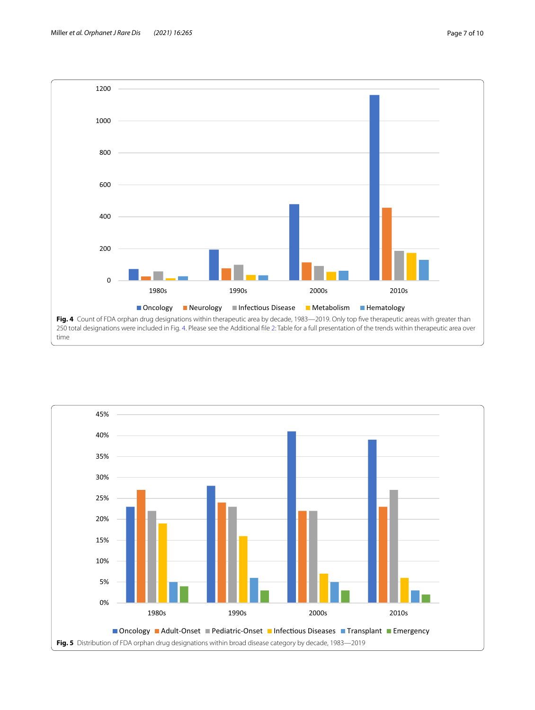

<span id="page-6-1"></span><span id="page-6-0"></span>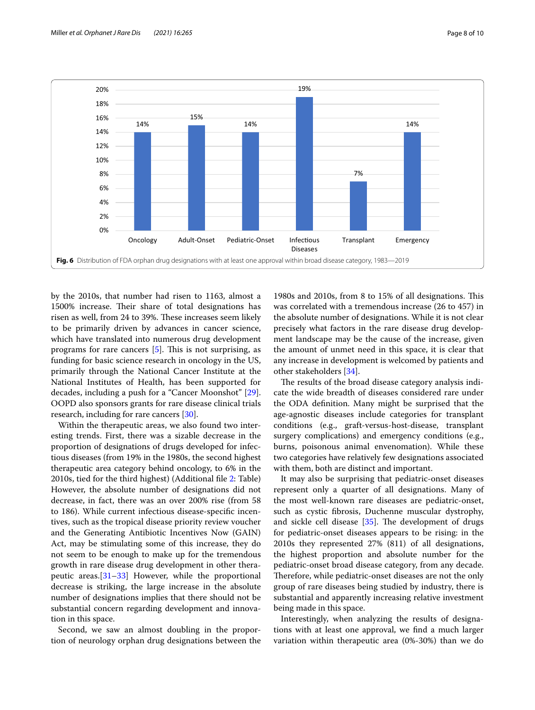

<span id="page-7-0"></span>by the 2010s, that number had risen to 1163, almost a 1500% increase. Their share of total designations has risen as well, from 24 to 39%. These increases seem likely to be primarily driven by advances in cancer science, which have translated into numerous drug development programs for rare cancers  $[5]$  $[5]$ . This is not surprising, as funding for basic science research in oncology in the US, primarily through the National Cancer Institute at the National Institutes of Health, has been supported for decades, including a push for a "Cancer Moonshot" [\[29](#page-9-24)]. OOPD also sponsors grants for rare disease clinical trials research, including for rare cancers [[30](#page-9-25)].

Within the therapeutic areas, we also found two interesting trends. First, there was a sizable decrease in the proportion of designations of drugs developed for infectious diseases (from 19% in the 1980s, the second highest therapeutic area category behind oncology, to 6% in the 2010s, tied for the third highest) (Additional fle [2](#page-8-1): Table) However, the absolute number of designations did not decrease, in fact, there was an over 200% rise (from 58 to 186). While current infectious disease-specifc incentives, such as the tropical disease priority review voucher and the Generating Antibiotic Incentives Now (GAIN) Act, may be stimulating some of this increase, they do not seem to be enough to make up for the tremendous growth in rare disease drug development in other therapeutic areas.[\[31](#page-9-26)[–33](#page-9-27)] However, while the proportional decrease is striking, the large increase in the absolute number of designations implies that there should not be substantial concern regarding development and innovation in this space.

Second, we saw an almost doubling in the proportion of neurology orphan drug designations between the

1980s and 2010s, from 8 to 15% of all designations. This was correlated with a tremendous increase (26 to 457) in the absolute number of designations. While it is not clear precisely what factors in the rare disease drug development landscape may be the cause of the increase, given the amount of unmet need in this space, it is clear that any increase in development is welcomed by patients and other stakeholders [[34\]](#page-9-28).

The results of the broad disease category analysis indicate the wide breadth of diseases considered rare under the ODA defnition. Many might be surprised that the age-agnostic diseases include categories for transplant conditions (e.g., graft-versus-host-disease, transplant surgery complications) and emergency conditions (e.g., burns, poisonous animal envenomation). While these two categories have relatively few designations associated with them, both are distinct and important.

It may also be surprising that pediatric-onset diseases represent only a quarter of all designations. Many of the most well-known rare diseases are pediatric-onset, such as cystic fbrosis, Duchenne muscular dystrophy, and sickle cell disease  $[35]$  $[35]$ . The development of drugs for pediatric-onset diseases appears to be rising: in the 2010s they represented 27% (811) of all designations, the highest proportion and absolute number for the pediatric-onset broad disease category, from any decade. Therefore, while pediatric-onset diseases are not the only group of rare diseases being studied by industry, there is substantial and apparently increasing relative investment being made in this space.

Interestingly, when analyzing the results of designations with at least one approval, we fnd a much larger variation within therapeutic area (0%-30%) than we do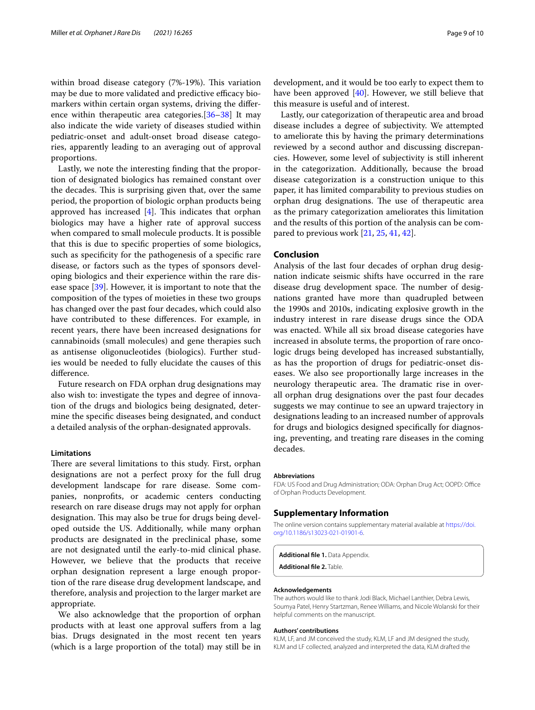within broad disease category (7%-19%). This variation may be due to more validated and predictive efficacy biomarkers within certain organ systems, driving the diference within therapeutic area categories.[[36–](#page-9-30)[38](#page-9-31)] It may also indicate the wide variety of diseases studied within pediatric-onset and adult-onset broad disease categories, apparently leading to an averaging out of approval proportions.

Lastly, we note the interesting fnding that the proportion of designated biologics has remained constant over the decades. This is surprising given that, over the same period, the proportion of biologic orphan products being approved has increased  $[4]$  $[4]$ . This indicates that orphan biologics may have a higher rate of approval success when compared to small molecule products. It is possible that this is due to specifc properties of some biologics, such as specifcity for the pathogenesis of a specifc rare disease, or factors such as the types of sponsors developing biologics and their experience within the rare disease space [\[39](#page-9-32)]. However, it is important to note that the composition of the types of moieties in these two groups has changed over the past four decades, which could also have contributed to these diferences. For example, in recent years, there have been increased designations for cannabinoids (small molecules) and gene therapies such as antisense oligonucleotides (biologics). Further studies would be needed to fully elucidate the causes of this diference.

Future research on FDA orphan drug designations may also wish to: investigate the types and degree of innovation of the drugs and biologics being designated, determine the specifc diseases being designated, and conduct a detailed analysis of the orphan-designated approvals.

#### **Limitations**

There are several limitations to this study. First, orphan designations are not a perfect proxy for the full drug development landscape for rare disease. Some companies, nonprofts, or academic centers conducting research on rare disease drugs may not apply for orphan designation. This may also be true for drugs being developed outside the US. Additionally, while many orphan products are designated in the preclinical phase, some are not designated until the early-to-mid clinical phase. However, we believe that the products that receive orphan designation represent a large enough proportion of the rare disease drug development landscape, and therefore, analysis and projection to the larger market are appropriate.

We also acknowledge that the proportion of orphan products with at least one approval sufers from a lag bias. Drugs designated in the most recent ten years (which is a large proportion of the total) may still be in

development, and it would be too early to expect them to have been approved  $[40]$  $[40]$  $[40]$ . However, we still believe that this measure is useful and of interest.

Lastly, our categorization of therapeutic area and broad disease includes a degree of subjectivity. We attempted to ameliorate this by having the primary determinations reviewed by a second author and discussing discrepancies. However, some level of subjectivity is still inherent in the categorization. Additionally, because the broad disease categorization is a construction unique to this paper, it has limited comparability to previous studies on orphan drug designations. The use of therapeutic area as the primary categorization ameliorates this limitation and the results of this portion of the analysis can be compared to previous work [[21,](#page-9-16) [25,](#page-9-19) [41](#page-9-34), [42\]](#page-9-35).

# **Conclusion**

Analysis of the last four decades of orphan drug designation indicate seismic shifts have occurred in the rare disease drug development space. The number of designations granted have more than quadrupled between the 1990s and 2010s, indicating explosive growth in the industry interest in rare disease drugs since the ODA was enacted. While all six broad disease categories have increased in absolute terms, the proportion of rare oncologic drugs being developed has increased substantially, as has the proportion of drugs for pediatric-onset diseases. We also see proportionally large increases in the neurology therapeutic area. The dramatic rise in overall orphan drug designations over the past four decades suggests we may continue to see an upward trajectory in designations leading to an increased number of approvals for drugs and biologics designed specifcally for diagnosing, preventing, and treating rare diseases in the coming decades.

#### **Abbreviations**

FDA: US Food and Drug Administration; ODA: Orphan Drug Act; OOPD: Office of Orphan Products Development.

## **Supplementary Information**

The online version contains supplementary material available at [https://doi.](https://doi.org/10.1186/s13023-021-01901-6) [org/10.1186/s13023-021-01901-6](https://doi.org/10.1186/s13023-021-01901-6).

<span id="page-8-1"></span><span id="page-8-0"></span>**Additional fle 1.** Data Appendix.

**Additional fle 2.** Table.

#### **Acknowledgements**

The authors would like to thank Jodi Black, Michael Lanthier, Debra Lewis, Soumya Patel, Henry Startzman, Renee Williams, and Nicole Wolanski for their helpful comments on the manuscript.

### **Authors' contributions**

KLM, LF, and JM conceived the study, KLM, LF and JM designed the study, KLM and LF collected, analyzed and interpreted the data, KLM drafted the